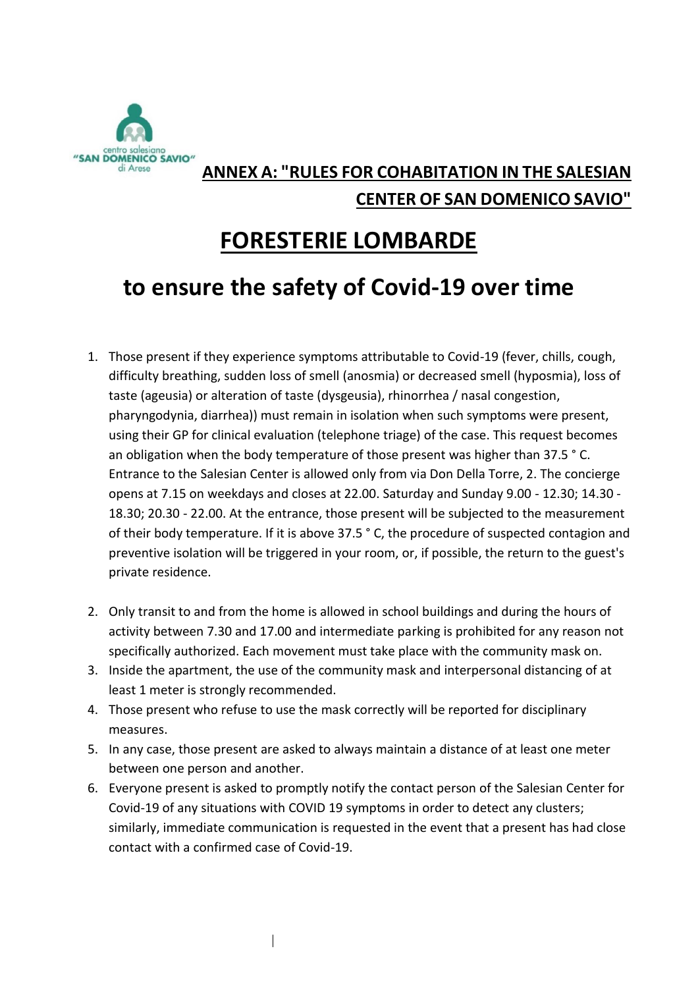

### **ANNEX A: "RULES FOR COHABITATION IN THE SALESIAN CENTER OF SAN DOMENICO SAVIO"**

# **FORESTERIE LOMBARDE**

# **to ensure the safety of Covid-19 over time**

- 1. Those present if they experience symptoms attributable to Covid-19 (fever, chills, cough, difficulty breathing, sudden loss of smell (anosmia) or decreased smell (hyposmia), loss of taste (ageusia) or alteration of taste (dysgeusia), rhinorrhea / nasal congestion, pharyngodynia, diarrhea)) must remain in isolation when such symptoms were present, using their GP for clinical evaluation (telephone triage) of the case. This request becomes an obligation when the body temperature of those present was higher than 37.5 ° C. Entrance to the Salesian Center is allowed only from via Don Della Torre, 2. The concierge opens at 7.15 on weekdays and closes at 22.00. Saturday and Sunday 9.00 - 12.30; 14.30 - 18.30; 20.30 - 22.00. At the entrance, those present will be subjected to the measurement of their body temperature. If it is above 37.5 ° C, the procedure of suspected contagion and preventive isolation will be triggered in your room, or, if possible, the return to the guest's private residence.
- 2. Only transit to and from the home is allowed in school buildings and during the hours of activity between 7.30 and 17.00 and intermediate parking is prohibited for any reason not specifically authorized. Each movement must take place with the community mask on.
- 3. Inside the apartment, the use of the community mask and interpersonal distancing of at least 1 meter is strongly recommended.
- 4. Those present who refuse to use the mask correctly will be reported for disciplinary measures.
- 5. In any case, those present are asked to always maintain a distance of at least one meter between one person and another.
- 6. Everyone present is asked to promptly notify the contact person of the Salesian Center for Covid-19 of any situations with COVID 19 symptoms in order to detect any clusters; similarly, immediate communication is requested in the event that a present has had close contact with a confirmed case of Covid-19.

 $\overline{\phantom{a}}$